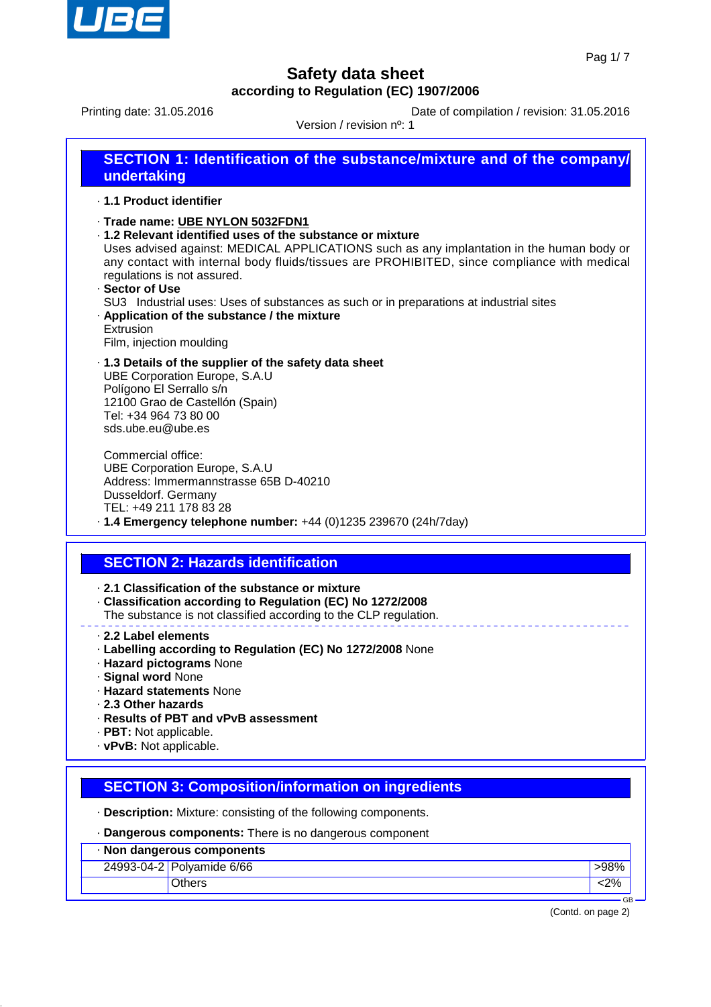

Printing date: 31.05.2016 **Date of compilation / revision: 31.05.2016** 

Version / revision nº: 1

| undertaking              | <b>SECTION 1: Identification of the substance/mixture and of the company/</b> |
|--------------------------|-------------------------------------------------------------------------------|
| . 1.1 Product identifier |                                                                               |

- · **Trade name: UBE NYLON 5032FDN1**
- · **1.2 Relevant identified uses of the substance or mixture**

Uses advised against: MEDICAL APPLICATIONS such as any implantation in the human body or any contact with internal body fluids/tissues are PROHIBITED, since compliance with medical regulations is not assured.

· **Sector of Use** SU3 Industrial uses: Uses of substances as such or in preparations at industrial sites · **Application of the substance / the mixture** Extrusion

Film, injection moulding

· **1.3 Details of the supplier of the safety data sheet** UBE Corporation Europe, S.A.U Polígono El Serrallo s/n 12100 Grao de Castellón (Spain) Tel: +34 964 73 80 00 sds.ube.eu@ube.es

Commercial office: UBE Corporation Europe, S.A.U Address: Immermannstrasse 65B D-40210 Dusseldorf. Germany TEL: +49 211 178 83 28 · **1.4 Emergency telephone number:** +44 (0)1235 239670 (24h/7day)

## **SECTION 2: Hazards identification**

· **2.1 Classification of the substance or mixture**

- · **Classification according to Regulation (EC) No 1272/2008**
- The substance is not classified according to the CLP regulation.
- · **2.2 Label elements**
- · **Labelling according to Regulation (EC) No 1272/2008** None
- · **Hazard pictograms** None
- · **Signal word** None
- · **Hazard statements** None
- · **2.3 Other hazards**
- · **Results of PBT and vPvB assessment**
- · **PBT:** Not applicable.
- · **vPvB:** Not applicable.

## **SECTION 3: Composition/information on ingredients**

· **Description:** Mixture: consisting of the following components.

- · **Dangerous components:** There is no dangerous component
- · **Non dangerous components**
	- 24993-04-2 Polyamide 6/66 **bidden and the set of the set of the set of the set of the set of the set of the set of the set of the set of the set of the set of the set of the set of the set of the set of the set of the set**

Others <2%

 GB (Contd. on page 2)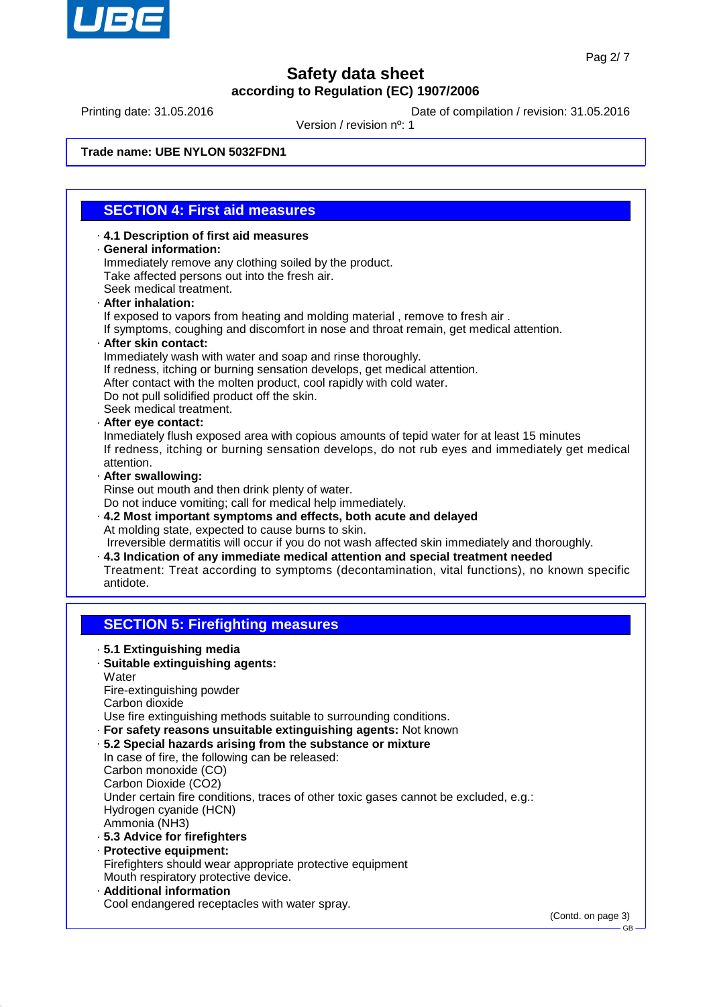

Printing date: 31.05.2016 **Date of compilation / revision: 31.05.2016** 

Version / revision nº: 1

#### **Trade name: UBE NYLON 5032FDN1**

## **SECTION 4: First aid measures**

· **4.1 Description of first aid measures** · **General information:** Immediately remove any clothing soiled by the product. Take affected persons out into the fresh air. Seek medical treatment.

#### · **After inhalation:**

- If exposed to vapors from heating and molding material , remove to fresh air .
- If symptoms, coughing and discomfort in nose and throat remain, get medical attention.
- · **After skin contact:**
- Immediately wash with water and soap and rinse thoroughly.
- If redness, itching or burning sensation develops, get medical attention.
- After contact with the molten product, cool rapidly with cold water.
- Do not pull solidified product off the skin.
- Seek medical treatment.
- · **After eye contact:**
- Inmediately flush exposed area with copious amounts of tepid water for at least 15 minutes If redness, itching or burning sensation develops, do not rub eyes and immediately get medical attention.
- · **After swallowing:**
- Rinse out mouth and then drink plenty of water.
- Do not induce vomiting; call for medical help immediately.
- · **4.2 Most important symptoms and effects, both acute and delayed** At molding state, expected to cause burns to skin. Irreversible dermatitis will occur if you do not wash affected skin immediately and thoroughly.
- · **4.3 Indication of any immediate medical attention and special treatment needed** Treatment: Treat according to symptoms (decontamination, vital functions), no known specific
- antidote.

## **SECTION 5: Firefighting measures**

- · **5.1 Extinguishing media** · **Suitable extinguishing agents: Water** 
	- Fire-extinguishing powder Carbon dioxide
- Use fire extinguishing methods suitable to surrounding conditions.
- · **For safety reasons unsuitable extinguishing agents:** Not known
- · **5.2 Special hazards arising from the substance or mixture**
- In case of fire, the following can be released: Carbon monoxide (CO) Carbon Dioxide (CO2) Under certain fire conditions, traces of other toxic gases cannot be excluded, e.g.: Hydrogen cyanide (HCN) Ammonia (NH3) · **5.3 Advice for firefighters**
- · **Protective equipment:** Firefighters should wear appropriate protective equipment Mouth respiratory protective device. · **Additional information**
- Cool endangered receptacles with water spray.

(Contd. on page 3)

GB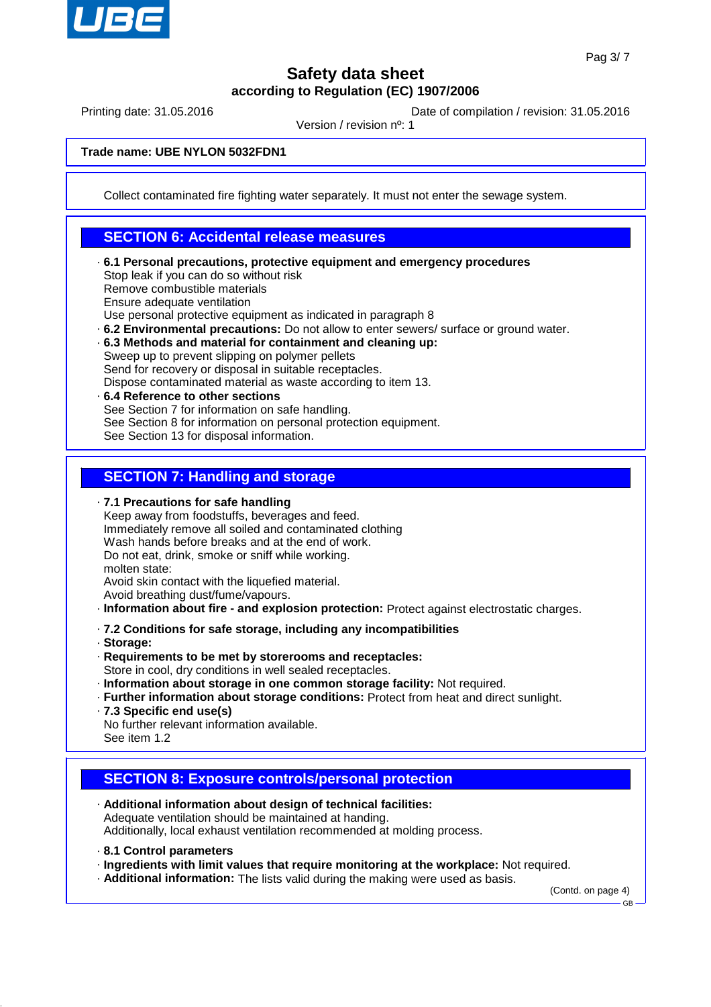

Printing date: 31.05.2016 **Date of compilation / revision: 31.05.2016** 

Version / revision nº: 1

**Trade name: UBE NYLON 5032FDN1**

Collect contaminated fire fighting water separately. It must not enter the sewage system.

### **SECTION 6: Accidental release measures**

- · **6.1 Personal precautions, protective equipment and emergency procedures** Stop leak if you can do so without risk Remove combustible materials Ensure adequate ventilation Use personal protective equipment as indicated in paragraph 8
- · **6.2 Environmental precautions:** Do not allow to enter sewers/ surface or ground water.
- · **6.3 Methods and material for containment and cleaning up:** Sweep up to prevent slipping on polymer pellets

Send for recovery or disposal in suitable receptacles.

- Dispose contaminated material as waste according to item 13.
- · **6.4 Reference to other sections** See Section 7 for information on safe handling. See Section 8 for information on personal protection equipment. See Section 13 for disposal information.

## **SECTION 7: Handling and storage**

· **7.1 Precautions for safe handling**

- Keep away from foodstuffs, beverages and feed. Immediately remove all soiled and contaminated clothing Wash hands before breaks and at the end of work. Do not eat, drink, smoke or sniff while working. molten state: Avoid skin contact with the liquefied material.
- Avoid breathing dust/fume/vapours.
- · **Information about fire and explosion protection:** Protect against electrostatic charges.
- · **7.2 Conditions for safe storage, including any incompatibilities**
- · **Storage:**
- · **Requirements to be met by storerooms and receptacles:**
- Store in cool, dry conditions in well sealed receptacles.
- · **Information about storage in one common storage facility:** Not required.
- · **Further information about storage conditions:** Protect from heat and direct sunlight.
- · **7.3 Specific end use(s)**
- No further relevant information available. See item 1.2
- **SECTION 8: Exposure controls/personal protection**
- · **Additional information about design of technical facilities:** Adequate ventilation should be maintained at handing. Additionally, local exhaust ventilation recommended at molding process.
- · **8.1 Control parameters**
- · **Ingredients with limit values that require monitoring at the workplace:** Not required.
- · **Additional information:** The lists valid during the making were used as basis.

(Contd. on page 4)

GB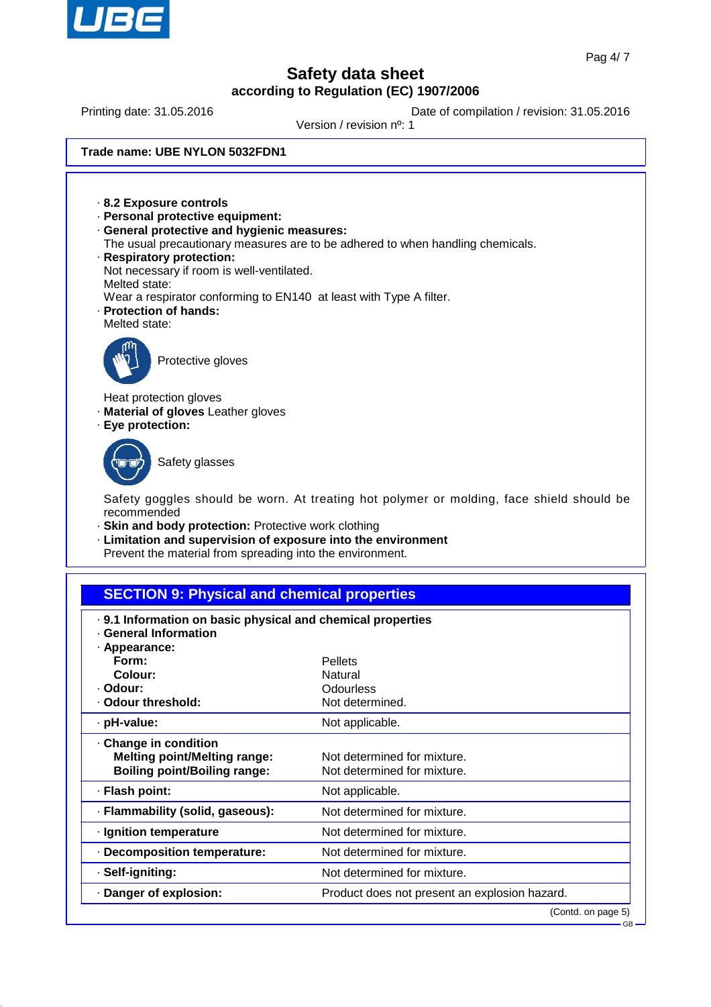

Printing date: 31.05.2016 **Date of compilation / revision: 31.05.2016** 

Version / revision nº: 1

**Trade name: UBE NYLON 5032FDN1**

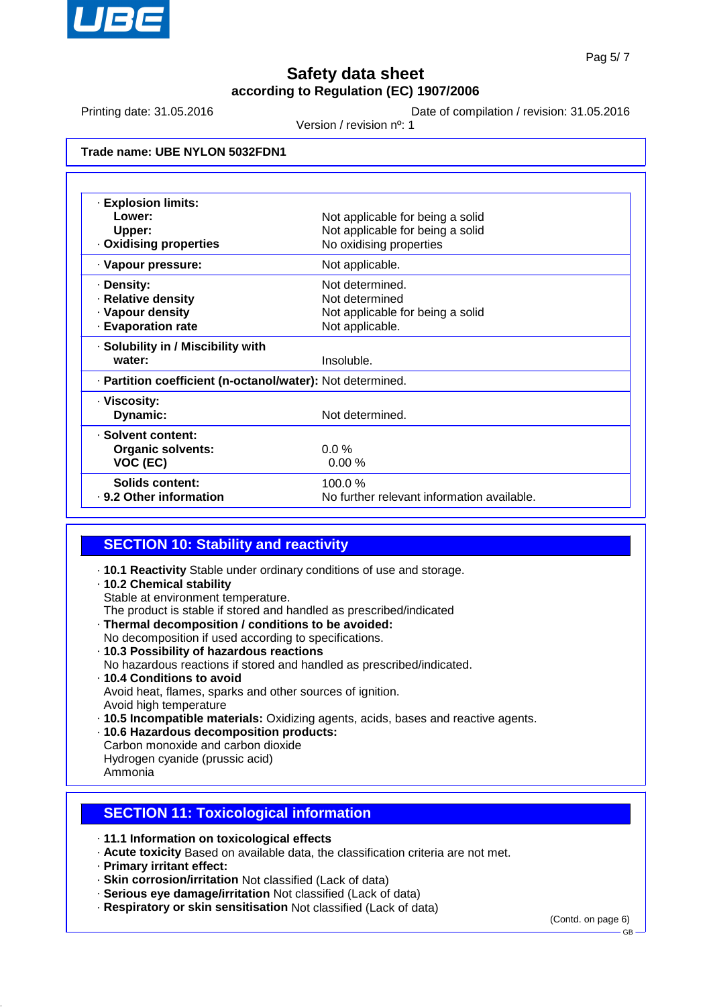

Printing date: 31.05.2016 **Date of compilation / revision: 31.05.2016** 

Version / revision nº: 1

| Trade name: UBE NYLON 5032FDN1 |  |  |  |
|--------------------------------|--|--|--|
|--------------------------------|--|--|--|

| · Explosion limits:                                        |                                                             |  |  |
|------------------------------------------------------------|-------------------------------------------------------------|--|--|
| Lower:                                                     | Not applicable for being a solid                            |  |  |
| Upper:                                                     | Not applicable for being a solid<br>No oxidising properties |  |  |
| . Oxidising properties                                     |                                                             |  |  |
| · Vapour pressure:                                         | Not applicable.                                             |  |  |
| · Density:                                                 | Not determined.                                             |  |  |
| · Relative density                                         | Not determined                                              |  |  |
| · Vapour density                                           | Not applicable for being a solid                            |  |  |
| · Evaporation rate                                         | Not applicable.                                             |  |  |
| · Solubility in / Miscibility with                         |                                                             |  |  |
| water:                                                     | Insoluble.                                                  |  |  |
| - Partition coefficient (n-octanol/water): Not determined. |                                                             |  |  |
| · Viscosity:                                               |                                                             |  |  |
| Dynamic:                                                   | Not determined.                                             |  |  |
| · Solvent content:                                         |                                                             |  |  |
| <b>Organic solvents:</b>                                   | $0.0\%$                                                     |  |  |
| VOC (EC)                                                   | 0.00%                                                       |  |  |
| Solids content:                                            | 100.0%                                                      |  |  |
| . 9.2 Other information                                    | No further relevant information available.                  |  |  |

### **SECTION 10: Stability and reactivity**

- · **10.1 Reactivity** Stable under ordinary conditions of use and storage.
- · **10.2 Chemical stability**
	- Stable at environment temperature.
- The product is stable if stored and handled as prescribed/indicated
- · **Thermal decomposition / conditions to be avoided:**
- No decomposition if used according to specifications. · **10.3 Possibility of hazardous reactions**
- No hazardous reactions if stored and handled as prescribed/indicated.
- · **10.4 Conditions to avoid** Avoid heat, flames, sparks and other sources of ignition. Avoid high temperature
- · **10.5 Incompatible materials:** Oxidizing agents, acids, bases and reactive agents.
- · **10.6 Hazardous decomposition products:**
- Carbon monoxide and carbon dioxide
- Hydrogen cyanide (prussic acid)
- Ammonia

## **SECTION 11: Toxicological information**

- · **11.1 Information on toxicological effects**
- · **Acute toxicity** Based on available data, the classification criteria are not met.
- · **Primary irritant effect:**
- · **Skin corrosion/irritation** Not classified (Lack of data)
- · **Serious eye damage/irritation** Not classified (Lack of data)
- · **Respiratory or skin sensitisation** Not classified (Lack of data)

(Contd. on page 6)

GB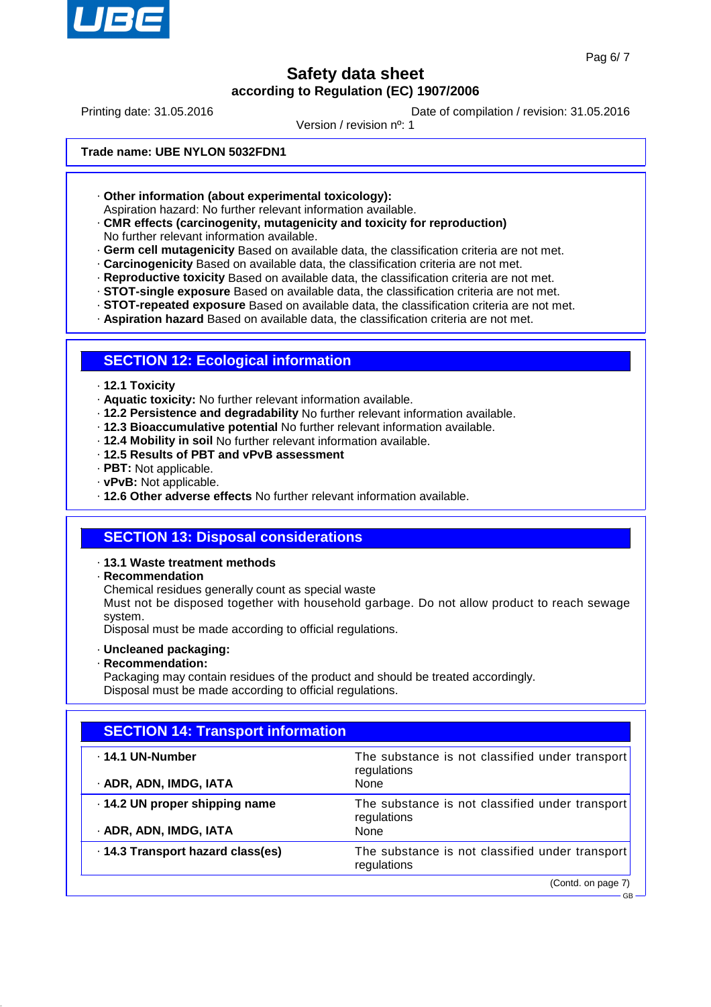

GB

## **Safety data sheet according to Regulation (EC) 1907/2006**

Printing date: 31.05.2016 **Date of compilation / revision: 31.05.2016** 

Version / revision nº: 1

#### **Trade name: UBE NYLON 5032FDN1**

· **Other information (about experimental toxicology):**

Aspiration hazard: No further relevant information available.

#### · **CMR effects (carcinogenity, mutagenicity and toxicity for reproduction)** No further relevant information available.

- · **Germ cell mutagenicity** Based on available data, the classification criteria are not met.
- · **Carcinogenicity** Based on available data, the classification criteria are not met.
- · **Reproductive toxicity** Based on available data, the classification criteria are not met.
- · **STOT-single exposure** Based on available data, the classification criteria are not met.
- · **STOT-repeated exposure** Based on available data, the classification criteria are not met.
- · **Aspiration hazard** Based on available data, the classification criteria are not met.

## **SECTION 12: Ecological information**

#### · **12.1 Toxicity**

- · **Aquatic toxicity:** No further relevant information available.
- · **12.2 Persistence and degradability** No further relevant information available.
- · **12.3 Bioaccumulative potential** No further relevant information available.
- · **12.4 Mobility in soil** No further relevant information available.
- · **12.5 Results of PBT and vPvB assessment**
- · **PBT:** Not applicable.
- · **vPvB:** Not applicable.
- · **12.6 Other adverse effects** No further relevant information available.

## **SECTION 13: Disposal considerations**

#### · **13.1 Waste treatment methods**

· **Recommendation**

Chemical residues generally count as special waste

Must not be disposed together with household garbage. Do not allow product to reach sewage system.

Disposal must be made according to official regulations.

- · **Uncleaned packaging:**
- · **Recommendation:**

Packaging may contain residues of the product and should be treated accordingly. Disposal must be made according to official regulations.

| <b>SECTION 14: Transport information</b> |                                                                |  |  |
|------------------------------------------|----------------------------------------------------------------|--|--|
| .14.1 UN-Number                          | The substance is not classified under transport<br>regulations |  |  |
| · ADR, ADN, IMDG, IATA                   | None                                                           |  |  |
| · 14.2 UN proper shipping name           | The substance is not classified under transport<br>regulations |  |  |
| · ADR, ADN, IMDG, IATA                   | None                                                           |  |  |
| · 14.3 Transport hazard class(es)        | The substance is not classified under transport<br>regulations |  |  |
|                                          | (Contd. on page 7)                                             |  |  |